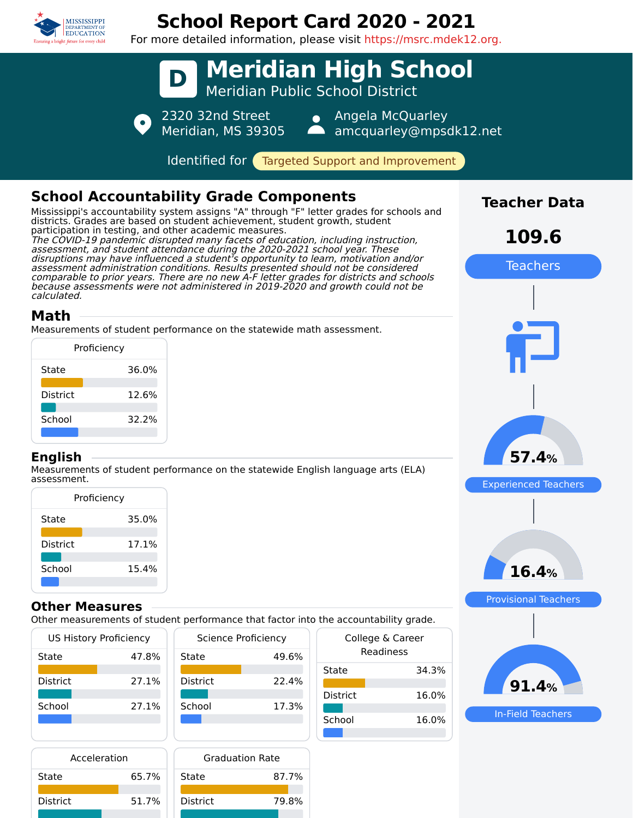

# **School Report Card 2020 - 2021**

For more detailed information, please visit https://msrc.mdek12.org.



| Acceleration    |       | <b>Graduation Rate</b> |       |
|-----------------|-------|------------------------|-------|
| State           | 65.7% | State                  | 87.7% |
| <b>District</b> | 51.7% | <b>District</b>        | 79.8% |